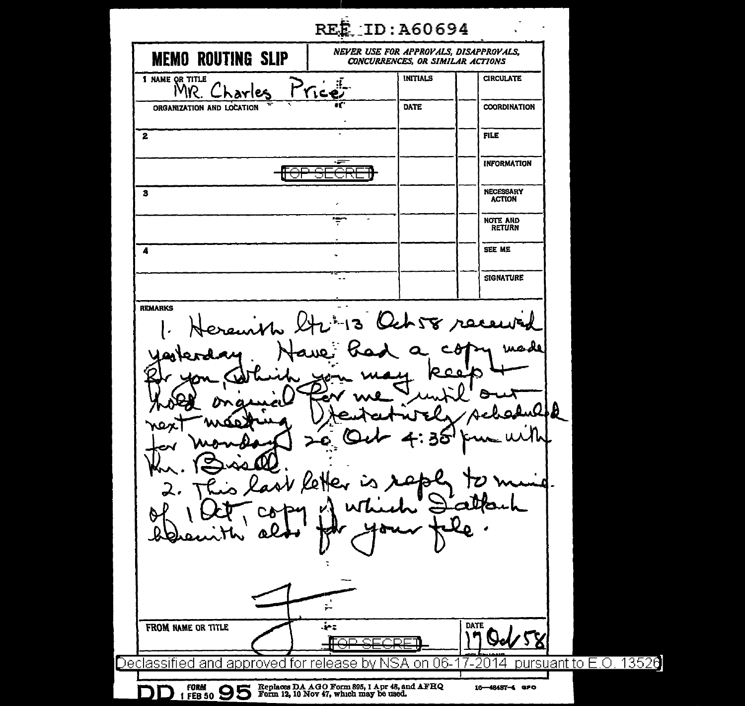| NEVER USE FOR APPROVALS, DISAPPROVALS,<br><b>MEMO ROUTING SLIP</b><br><b>CONCURRENCES, OR SIMILAR ACTIONS</b><br><b>INITIALS</b><br><b>CIRCULATE</b><br>1 NAME OR TITLE<br><b>MAS</b><br>DATE<br><b>COORDINATION</b><br>ORGANIZATION AND LOCATION<br>FILE<br>$\mathbf{z}$<br>-=<br><b>INFORMATION</b><br>ור ר<br>৴!∖<br><b>NECESSARY</b><br>3<br><b>ACTION</b><br><br><b>NOTE AND</b><br><b>RETURN</b><br>SEE ME<br>4<br><b>SIGNATURE</b><br><b>REMARKS</b><br>Och58 re<br>$\mathbf{B}$<br>n<br>b<br>v Ket<br>t<br>÷.<br><b>DATE</b><br>Ţ.<br>FROM NAME OR TITLE<br>Ŋ<br>lerse<br>∎⊖<br>⊂⊡⊑<br>- 77<br>Declassified and approved for release<br>pursuant to E.O. 13526<br>06-<br>SА<br>Δ<br>bv<br>-on<br>Replaces DA AGO Form 895, 1 Apr 48, and AFHQ<br>Form 12, 10 Nov 47, which may be used. |                         | REE ID: A60694 |                |  |
|-------------------------------------------------------------------------------------------------------------------------------------------------------------------------------------------------------------------------------------------------------------------------------------------------------------------------------------------------------------------------------------------------------------------------------------------------------------------------------------------------------------------------------------------------------------------------------------------------------------------------------------------------------------------------------------------------------------------------------------------------------------------------------------------------|-------------------------|----------------|----------------|--|
|                                                                                                                                                                                                                                                                                                                                                                                                                                                                                                                                                                                                                                                                                                                                                                                                 |                         |                |                |  |
|                                                                                                                                                                                                                                                                                                                                                                                                                                                                                                                                                                                                                                                                                                                                                                                                 |                         |                |                |  |
|                                                                                                                                                                                                                                                                                                                                                                                                                                                                                                                                                                                                                                                                                                                                                                                                 |                         |                |                |  |
|                                                                                                                                                                                                                                                                                                                                                                                                                                                                                                                                                                                                                                                                                                                                                                                                 |                         |                |                |  |
|                                                                                                                                                                                                                                                                                                                                                                                                                                                                                                                                                                                                                                                                                                                                                                                                 |                         |                |                |  |
|                                                                                                                                                                                                                                                                                                                                                                                                                                                                                                                                                                                                                                                                                                                                                                                                 |                         |                |                |  |
|                                                                                                                                                                                                                                                                                                                                                                                                                                                                                                                                                                                                                                                                                                                                                                                                 |                         |                |                |  |
|                                                                                                                                                                                                                                                                                                                                                                                                                                                                                                                                                                                                                                                                                                                                                                                                 |                         |                |                |  |
|                                                                                                                                                                                                                                                                                                                                                                                                                                                                                                                                                                                                                                                                                                                                                                                                 |                         |                |                |  |
|                                                                                                                                                                                                                                                                                                                                                                                                                                                                                                                                                                                                                                                                                                                                                                                                 |                         |                |                |  |
|                                                                                                                                                                                                                                                                                                                                                                                                                                                                                                                                                                                                                                                                                                                                                                                                 |                         |                |                |  |
|                                                                                                                                                                                                                                                                                                                                                                                                                                                                                                                                                                                                                                                                                                                                                                                                 | <b>FORM</b><br>1 FEB 50 |                | 16-48487-4 aPO |  |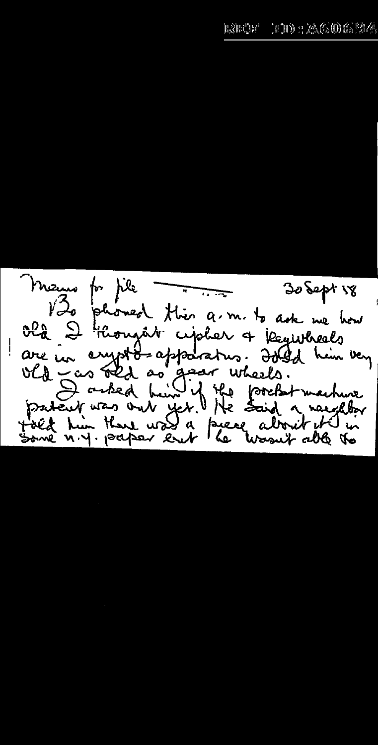Mans for pile This a.  $30$  Sept  $18$ phoned this a.m. to ask we how old I thought explor a Registreals are un crypto-apparatus. Jold him very We can that as gear wheels.<br>patent was out yet. He forefut machine<br>patent was out yet. He said a needby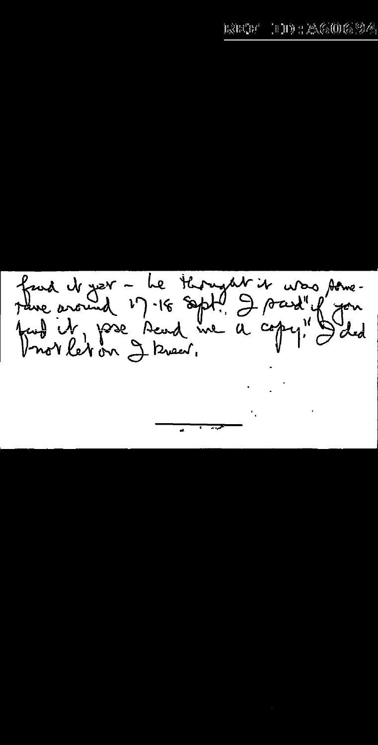faid de ver - Le thought it was some-<br>tane around 17.18 sept! I soud" if you<br>tant it pase send me a copy! I did  $\mathcal{A}_{\mathbf{z}}$  , and  $\mathcal{A}_{\mathbf{z}}$  , and

 $\overline{\phantom{a}}$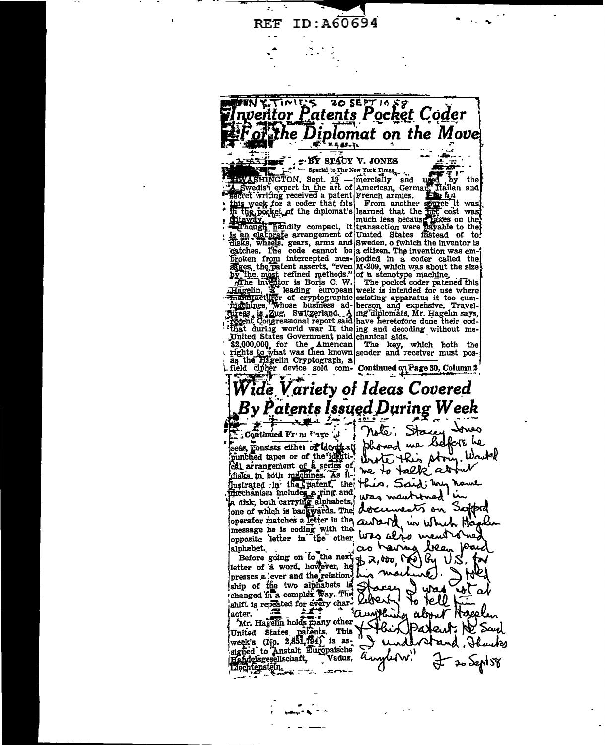ID: A60694 **REF** 



F. BY STACY V. JONES

catches. The code cannot be a citizen. The invention was em-

ij

 $\begin{array}{ll}\n & \text{EXERCISE 1} & \text{SFAOT V. JONES} \\
 & \text{SWASHINGTON, Sept. 19 —/merically and used by the first key part in the art of (American, Germany) that is used to be a patent. From another spring. It is used to be a path. This work, if the dplomat's learned that the first cost was in the positive number. A second is called a small number of the first cost. In this, the second set is not a small number of the second set. It is that the first cost was not less because a second set is an ejar of a second set. The second set is a right. The second set is a right. The second set is a right. The second set is a right. The second set is a right. The second set is a right. The second set is a right. The second set is a right. The second set is a$ 

catches. The code cannot be a citizen. The invention was em-<br>broken from intercepted mes-bodied in a coder called the<br>afges, the platent asserts, "even M-209, which was about the size<br>by the most refined methods." of a ste

. field cipher device sold com- Continued on Page 30, Column 2

## 'ide Variety of Ideas Covered By Patents Issued During Week

Continued Fr n Unge J

message he is coding with the opposite letter in the other W20 alze ment of no alphabet.

Liechtenstein.

Stacey Essa, commune 11 m 115 et algorithment of depths of the minister of the minister of the pure of the pure of the pure of the pure of the cathod of the minister of the series of the this potential depth and the minister of t phoned me before he Wruted alphabet.<br>
Before going on to the next of 2,000 and the set of a word, however, he b 2,000 and presses a lever and the relation has more into the shift of the two alphabets is  $\frac{1}{2}$  and  $\frac{1}{2}$  and  $\frac{1}{2}$  changed as having been (hu ura